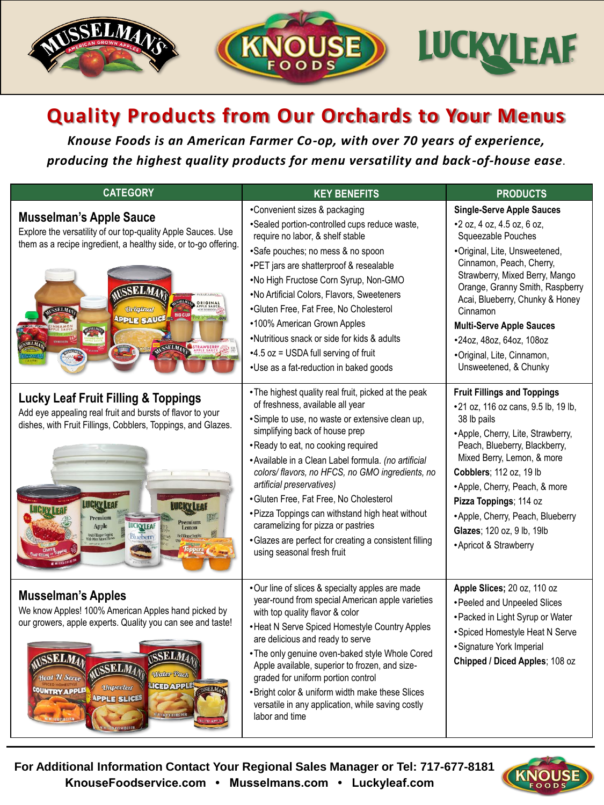

## **Quality Products from Our Orchards to Your Menus**

*Knouse Foods is an American Farmer Co-op, with over 70 years of experience, producing the highest quality products for menu versatility and back-of-house ease*.

| <b>CATEGORY</b>                                                                                                                                                                                                                                                                                                               | <b>KEY BENEFITS</b>                                                                                                                                                                                                                                                                                                                                                                                                                                                                                                                                                                      | <b>PRODUCTS</b>                                                                                                                                                                                                                                                                                                                                                                             |
|-------------------------------------------------------------------------------------------------------------------------------------------------------------------------------------------------------------------------------------------------------------------------------------------------------------------------------|------------------------------------------------------------------------------------------------------------------------------------------------------------------------------------------------------------------------------------------------------------------------------------------------------------------------------------------------------------------------------------------------------------------------------------------------------------------------------------------------------------------------------------------------------------------------------------------|---------------------------------------------------------------------------------------------------------------------------------------------------------------------------------------------------------------------------------------------------------------------------------------------------------------------------------------------------------------------------------------------|
| <b>Musselman's Apple Sauce</b><br>Explore the versatility of our top-quality Apple Sauces. Use<br>them as a recipe ingredient, a healthy side, or to-go offering.<br><b>TESHING WA</b><br><b>Original</b><br><b>BIG CUP</b><br><b>APPLE SAUCE</b><br>AUSSELMAN STRAWBERRY                                                     | •Convenient sizes & packaging<br>•Sealed portion-controlled cups reduce waste,<br>require no labor, & shelf stable<br>•Safe pouches; no mess & no spoon<br>•PET jars are shatterproof & resealable<br>.No High Fructose Corn Syrup, Non-GMO<br>.No Artificial Colors, Flavors, Sweeteners<br>•Gluten Free, Fat Free, No Cholesterol<br>•100% American Grown Apples<br>•Nutritious snack or side for kids & adults<br>$-4.5$ oz = USDA full serving of fruit<br>•Use as a fat-reduction in baked goods                                                                                    | <b>Single-Serve Apple Sauces</b><br>•2 oz, 4 oz, 4.5 oz, 6 oz,<br>Squeezable Pouches<br>•Original, Lite, Unsweetened,<br>Cinnamon, Peach, Cherry,<br>Strawberry, Mixed Berry, Mango<br>Orange, Granny Smith, Raspberry<br>Acai, Blueberry, Chunky & Honey<br>Cinnamon<br><b>Multi-Serve Apple Sauces</b><br>•24oz, 48oz, 64oz, 108oz<br>•Original, Lite, Cinnamon,<br>Unsweetened, & Chunky |
| <b>Lucky Leaf Fruit Filling &amp; Toppings</b><br>Add eye appealing real fruit and bursts of flavor to your<br>dishes, with Fruit Fillings, Cobblers, Toppings, and Glazes.<br><b>LUCKY LEAF</b><br><b>LUCKY LEI</b><br>Premium<br>Premium<br>Apple<br><b>LUCKYLEAF</b><br>Lemon<br>niit Filing or Topp<br>Blueberry          | • The highest quality real fruit, picked at the peak<br>of freshness, available all year<br>• Simple to use, no waste or extensive clean up,<br>simplifying back of house prep<br>•Ready to eat, no cooking required<br>• Available in a Clean Label formula. (no artificial<br>colors/flavors, no HFCS, no GMO ingredients, no<br>artificial preservatives)<br>•Gluten Free, Fat Free, No Cholesterol<br>• Pizza Toppings can withstand high heat without<br>caramelizing for pizza or pastries<br>• Glazes are perfect for creating a consistent filling<br>using seasonal fresh fruit | <b>Fruit Fillings and Toppings</b><br>•21 oz, 116 oz cans, 9.5 lb, 19 lb,<br>38 lb pails<br>•Apple, Cherry, Lite, Strawberry,<br>Peach, Blueberry, Blackberry,<br>Mixed Berry, Lemon, & more<br>Cobblers; 112 oz, 19 lb<br>• Apple, Cherry, Peach, & more<br>Pizza Toppings; 114 oz<br>• Apple, Cherry, Peach, Blueberry<br>Glazes; 120 oz, 9 lb, 19lb<br>• Apricot & Strawberry            |
| <b>Musselman's Apples</b><br>We know Apples! 100% American Apples hand picked by<br>our growers, apple experts. Quality you can see and taste!<br><b>SELM</b><br><b>Water Pack</b><br>Heal <i>N Serve</i><br>LICED APPLE<br><b>Unpeeled</b><br>COUNTRY APPLES<br><b>APPLE SLICES</b><br>.<br>Nel mi 104 ni 16 le s an 2.943 N | •Our line of slices & specialty apples are made<br>year-round from special American apple varieties<br>with top quality flavor & color<br>• Heat N Serve Spiced Homestyle Country Apples<br>are delicious and ready to serve<br>• The only genuine oven-baked style Whole Cored<br>Apple available, superior to frozen, and size-<br>graded for uniform portion control<br>• Bright color & uniform width make these Slices<br>versatile in any application, while saving costly<br>labor and time                                                                                       | Apple Slices; 20 oz, 110 oz<br>• Peeled and Unpeeled Slices<br>• Packed in Light Syrup or Water<br>• Spiced Homestyle Heat N Serve<br>• Signature York Imperial<br>Chipped / Diced Apples; 108 oz                                                                                                                                                                                           |